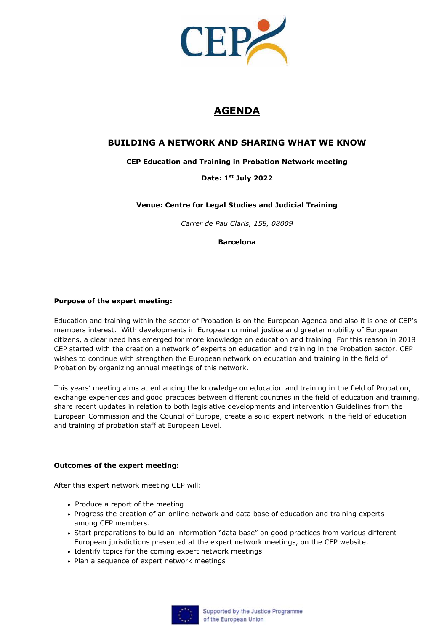

# **AGENDA**

### **BUILDING A NETWORK AND SHARING WHAT WE KNOW**

#### **CEP Education and Training in Probation Network meeting**

#### **Date: 1st July 2022**

#### **Venue: Centre for Legal Studies and Judicial Training**

*Carrer de Pau Claris, 158, 08009* 

**Barcelona**

#### **Purpose of the expert meeting:**

Education and training within the sector of Probation is on the European Agenda and also it is one of CEP's members interest. With developments in European criminal justice and greater mobility of European citizens, a clear need has emerged for more knowledge on education and training. For this reason in 2018 CEP started with the creation a network of experts on education and training in the Probation sector. CEP wishes to continue with strengthen the European network on education and training in the field of Probation by organizing annual meetings of this network.

This years' meeting aims at enhancing the knowledge on education and training in the field of Probation, exchange experiences and good practices between different countries in the field of education and training, share recent updates in relation to both legislative developments and intervention Guidelines from the European Commission and the Council of Europe, create a solid expert network in the field of education and training of probation staff at European Level.

#### **Outcomes of the expert meeting:**

After this expert network meeting CEP will:

- Produce a report of the meeting
- Progress the creation of an online network and data base of education and training experts among CEP members.
- Start preparations to build an information "data base" on good practices from various different European jurisdictions presented at the expert network meetings, on the CEP website.
- Identify topics for the coming expert network meetings
- Plan a sequence of expert network meetings